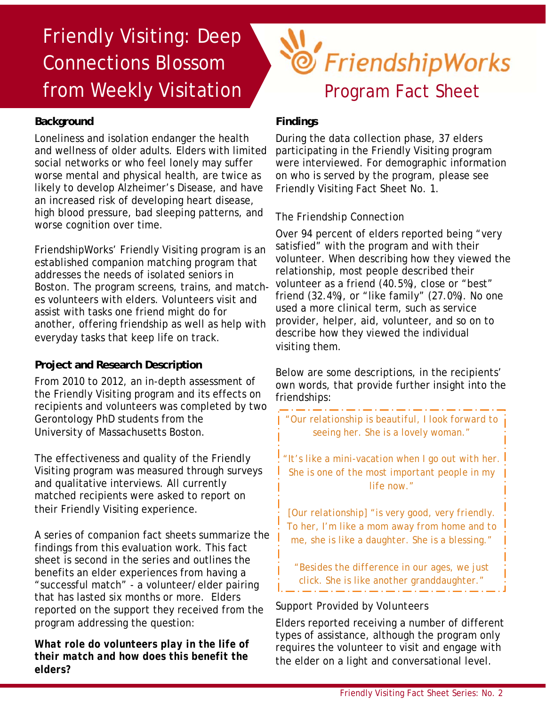# Friendly Visiting: Deep Connections Blossom from Weekly Visitation

### **Background**

Loneliness and isolation endanger the health and wellness of older adults. Elders with limited social networks or who feel lonely may suffer worse mental and physical health, are twice as likely to develop Alzheimer's Disease, and have an increased risk of developing heart disease, high blood pressure, bad sleeping patterns, and worse cognition over time.

FriendshipWorks' Friendly Visiting program is an established companion matching program that addresses the needs of isolated seniors in Boston. The program screens, trains, and matches volunteers with elders. Volunteers visit and assist with tasks one friend might do for another, offering friendship as well as help with everyday tasks that keep life on track.

#### **Project and Research Description**

From 2010 to 2012, an in-depth assessment of the Friendly Visiting program and its effects on recipients and volunteers was completed by two Gerontology PhD students from the University of Massachusetts Boston.

The effectiveness and quality of the Friendly Visiting program was measured through surveys and qualitative interviews. All currently matched recipients were asked to report on their Friendly Visiting experience.

A series of companion fact sheets summarize the findings from this evaluation work. This fact sheet is second in the series and outlines the benefits an elder experiences from having a "successful match" - a volunteer/elder pairing that has lasted six months or more. Elders reported on the support they received from the program addressing the question:

*What role do volunteers play in the life of their match and how does this benefit the elders?*

# Section FriendshipWorks Program Fact Sheet

# **Findings**

During the data collection phase, 37 elders participating in the Friendly Visiting program were interviewed. For demographic information on who is served by the program, please see Friendly Visiting Fact Sheet No. 1.

# *The Friendship Connection*

Over 94 percent of elders reported being "very satisfied" with the program and with their volunteer. When describing how they viewed the relationship, most people described their volunteer as a friend (40.5%), close or "best" friend (32.4%), or "like family" (27.0%). No one used a more clinical term, such as service provider, helper, aid, volunteer, and so on to describe how they viewed the individual visiting them.

Below are some descriptions, in the recipients' own words, that provide further insight into the friendships:

*"Our relationship is beautiful, I look forward to seeing her. She is a lovely woman."* 

*"It's like a mini-vacation when I go out with her. She is one of the most important people in my life now."* 

*[Our relationship] "is very good, very friendly. To her, I'm like a mom away from home and to me, she is like a daughter. She is a blessing."* 

*"Besides the difference in our ages, we just click. She is like another granddaughter."* 

# *Support Provided by Volunteers*

Elders reported receiving a number of different types of assistance, although the program only requires the volunteer to visit and engage with the elder on a light and conversational level.